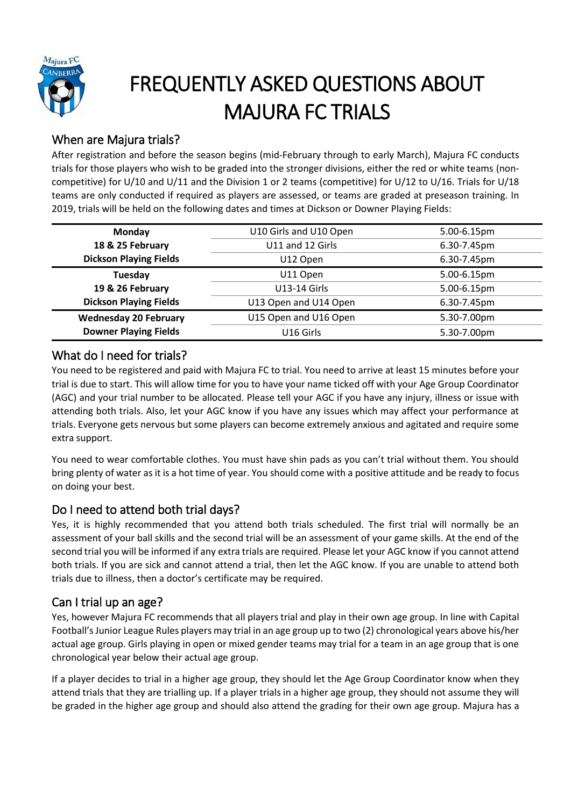

# FREQUENTLY ASKED QUESTIONS ABOUT MAJURA FC TRIALS

## When are Majura trials?

After registration and before the season begins (mid-February through to early March), Majura FC conducts trials for those players who wish to be graded into the stronger divisions, either the red or white teams (noncompetitive) for U/10 and U/11 and the Division 1 or 2 teams (competitive) for U/12 to U/16. Trials for U/18 teams are only conducted if required as players are assessed, or teams are graded at preseason training. In 2019, trials will be held on the following dates and times at Dickson or Downer Playing Fields:

| Monday                        | U10 Girls and U10 Open | 5.00-6.15pm |
|-------------------------------|------------------------|-------------|
| 18 & 25 February              | U11 and 12 Girls       | 6.30-7.45pm |
| <b>Dickson Playing Fields</b> | U12 Open               | 6.30-7.45pm |
| Tuesday                       | U11 Open               | 5.00-6.15pm |
| 19 & 26 February              | <b>U13-14 Girls</b>    | 5.00-6.15pm |
| <b>Dickson Playing Fields</b> | U13 Open and U14 Open  | 6.30-7.45pm |
| <b>Wednesday 20 February</b>  | U15 Open and U16 Open  | 5.30-7.00pm |
| <b>Downer Playing Fields</b>  | U16 Girls              | 5.30-7.00pm |
|                               |                        |             |

### What do I need for trials?

You need to be registered and paid with Majura FC to trial. You need to arrive at least 15 minutes before your trial is due to start. This will allow time for you to have your name ticked off with your Age Group Coordinator (AGC) and your trial number to be allocated. Please tell your AGC if you have any injury, illness or issue with attending both trials. Also, let your AGC know if you have any issues which may affect your performance at trials. Everyone gets nervous but some players can become extremely anxious and agitated and require some extra support.

You need to wear comfortable clothes. You must have shin pads as you can't trial without them. You should bring plenty of water as it is a hot time of year. You should come with a positive attitude and be ready to focus on doing your best.

## Do I need to attend both trial days?

Yes, it is highly recommended that you attend both trials scheduled. The first trial will normally be an assessment of your ball skills and the second trial will be an assessment of your game skills. At the end of the second trial you will be informed if any extra trials are required. Please let your AGC know if you cannot attend both trials. If you are sick and cannot attend a trial, then let the AGC know. If you are unable to attend both trials due to illness, then a doctor's certificate may be required.

#### Can I trial up an age?

Yes, however Majura FC recommends that all players trial and play in their own age group. In line with Capital Football's Junior League Rules players may trial in an age group up to two (2) chronological years above his/her actual age group. Girls playing in open or mixed gender teams may trial for a team in an age group that is one chronological year below their actual age group.

If a player decides to trial in a higher age group, they should let the Age Group Coordinator know when they attend trials that they are trialling up. If a player trials in a higher age group, they should not assume they will be graded in the higher age group and should also attend the grading for their own age group. Majura has a